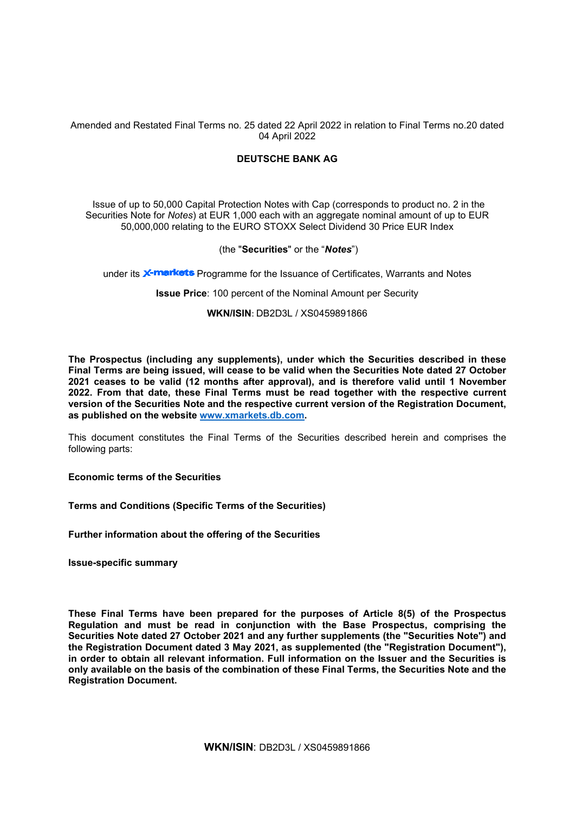Amended and Restated Final Terms no. 25 dated 22 April 2022 in relation to Final Terms no.20 dated 04 April 2022

# **DEUTSCHE BANK AG**

Issue of up to 50,000 Capital Protection Notes with Cap (corresponds to product no. 2 in the Securities Note for *Notes*) at EUR 1,000 each with an aggregate nominal amount of up to EUR 50,000,000 relating to the EURO STOXX Select Dividend 30 Price EUR Index

# (the "**Securities**" or the "*Notes*")

under its **X-markets** Programme for the Issuance of Certificates, Warrants and Notes

**Issue Price**: 100 percent of the Nominal Amount per Security

# **WKN/ISIN**: DB2D3L / XS0459891866

**The Prospectus (including any supplements), under which the Securities described in these Final Terms are being issued, will cease to be valid when the Securities Note dated 27 October 2021 ceases to be valid (12 months after approval), and is therefore valid until 1 November 2022. From that date, these Final Terms must be read together with the respective current version of the Securities Note and the respective current version of the Registration Document, as published on the website [www.xmarkets.db.com.](http://www.xmarkets.db.com/)**

This document constitutes the Final Terms of the Securities described herein and comprises the following parts:

**Economic terms of the Securities**

**Terms and Conditions (Specific Terms of the Securities)**

**Further information about the offering of the Securities**

**Issue-specific summary**

**These Final Terms have been prepared for the purposes of Article 8(5) of the Prospectus Regulation and must be read in conjunction with the Base Prospectus, comprising the Securities Note dated 27 October 2021 and any further supplements (the "Securities Note") and the Registration Document dated 3 May 2021, as supplemented (the "Registration Document"), in order to obtain all relevant information. Full information on the Issuer and the Securities is only available on the basis of the combination of these Final Terms, the Securities Note and the Registration Document.**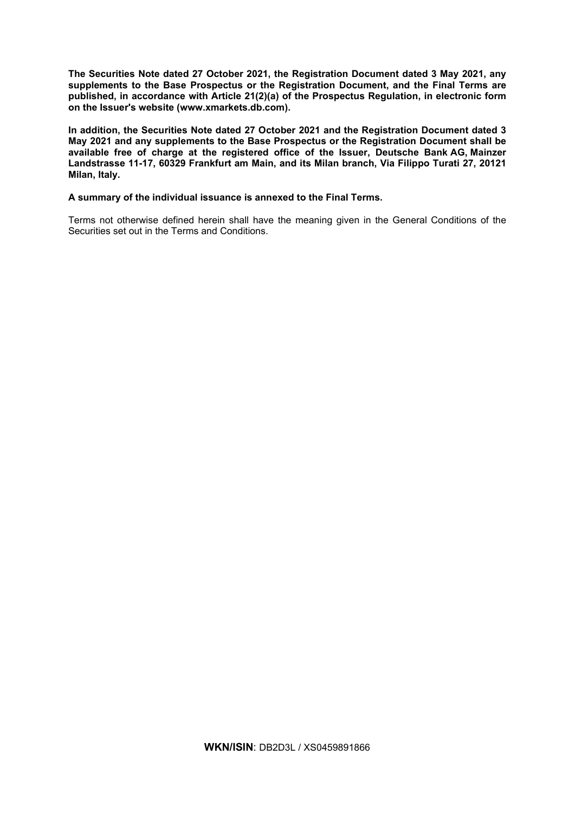**The Securities Note dated 27 October 2021, the Registration Document dated 3 May 2021, any supplements to the Base Prospectus or the Registration Document, and the Final Terms are published, in accordance with Article 21(2)(a) of the Prospectus Regulation, in electronic form on the Issuer's website [\(www.xmarkets.db.com\)](http://www.xmarkets.db.com/).**

**In addition, the Securities Note dated 27 October 2021 and the Registration Document dated 3 May 2021 and any supplements to the Base Prospectus or the Registration Document shall be available free of charge at the registered office of the Issuer, Deutsche Bank AG, Mainzer Landstrasse 11-17, 60329 Frankfurt am Main, and its Milan branch, Via Filippo Turati 27, 20121 Milan, Italy.**

# **A summary of the individual issuance is annexed to the Final Terms.**

Terms not otherwise defined herein shall have the meaning given in the General Conditions of the Securities set out in the Terms and Conditions.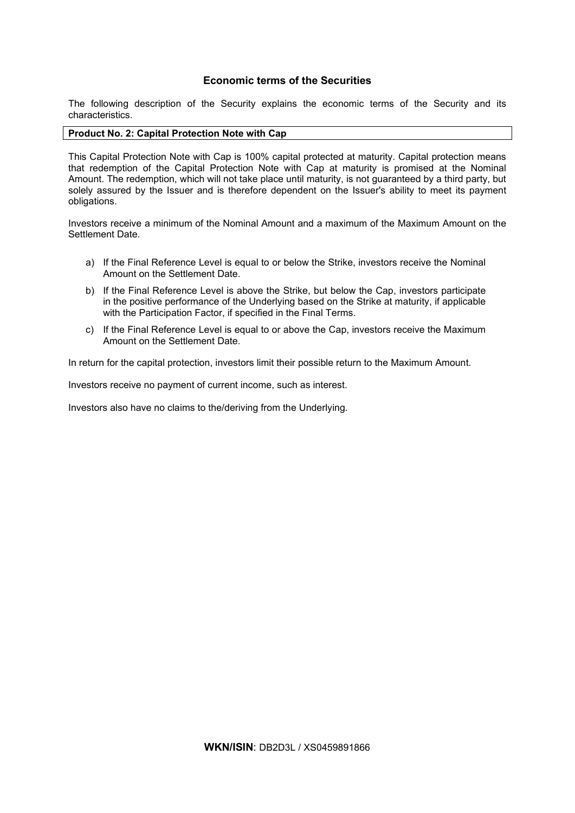# **Economic terms of the Securities**

The following description of the Security explains the economic terms of the Security and its characteristics.

# **Product No. 2: Capital Protection Note with Cap**

This Capital Protection Note with Cap is 100% capital protected at maturity. Capital protection means that redemption of the Capital Protection Note with Cap at maturity is promised at the Nominal Amount. The redemption, which will not take place until maturity, is not guaranteed by a third party, but solely assured by the Issuer and is therefore dependent on the Issuer's ability to meet its payment obligations.

Investors receive a minimum of the Nominal Amount and a maximum of the Maximum Amount on the Settlement Date.

- a) If the Final Reference Level is equal to or below the Strike, investors receive the Nominal Amount on the Settlement Date.
- b) If the Final Reference Level is above the Strike, but below the Cap, investors participate in the positive performance of the Underlying based on the Strike at maturity, if applicable with the Participation Factor, if specified in the Final Terms.
- c) If the Final Reference Level is equal to or above the Cap, investors receive the Maximum Amount on the Settlement Date.

In return for the capital protection, investors limit their possible return to the Maximum Amount.

Investors receive no payment of current income, such as interest.

Investors also have no claims to the/deriving from the Underlying.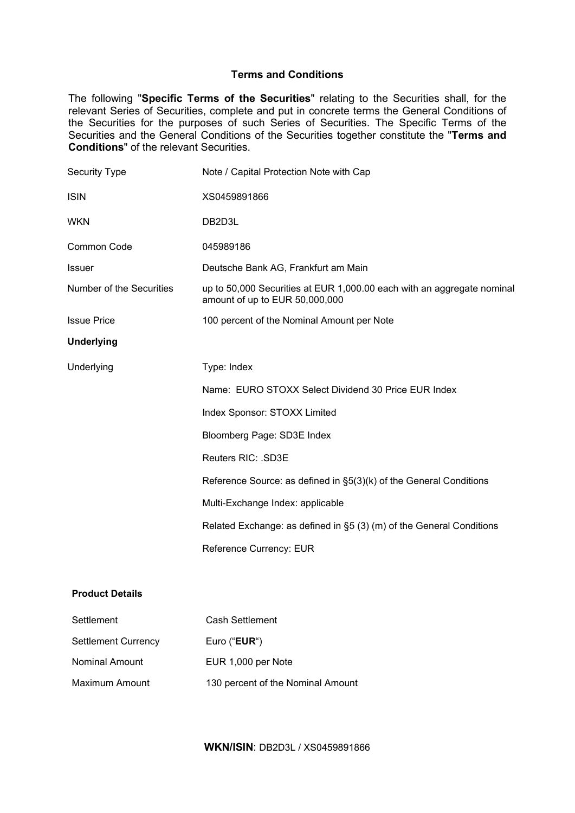# **Terms and Conditions**

The following "**Specific Terms of the Securities**" relating to the Securities shall, for the relevant Series of Securities, complete and put in concrete terms the General Conditions of the Securities for the purposes of such Series of Securities. The Specific Terms of the Securities and the General Conditions of the Securities together constitute the "**Terms and Conditions**" of the relevant Securities.

| Security Type            | Note / Capital Protection Note with Cap                                                                  |
|--------------------------|----------------------------------------------------------------------------------------------------------|
| <b>ISIN</b>              | XS0459891866                                                                                             |
| <b>WKN</b>               | DB2D3L                                                                                                   |
| Common Code              | 045989186                                                                                                |
| <b>Issuer</b>            | Deutsche Bank AG, Frankfurt am Main                                                                      |
| Number of the Securities | up to 50,000 Securities at EUR 1,000.00 each with an aggregate nominal<br>amount of up to EUR 50,000,000 |
| <b>Issue Price</b>       | 100 percent of the Nominal Amount per Note                                                               |
| <b>Underlying</b>        |                                                                                                          |
| Underlying               | Type: Index                                                                                              |
|                          | Name: EURO STOXX Select Dividend 30 Price EUR Index                                                      |
|                          | Index Sponsor: STOXX Limited                                                                             |
|                          | Bloomberg Page: SD3E Index                                                                               |
|                          | Reuters RIC: .SD3E                                                                                       |
|                          | Reference Source: as defined in §5(3)(k) of the General Conditions                                       |
|                          | Multi-Exchange Index: applicable                                                                         |
|                          | Related Exchange: as defined in §5 (3) (m) of the General Conditions                                     |
|                          | Reference Currency: EUR                                                                                  |
|                          |                                                                                                          |
| <b>Product Details</b>   |                                                                                                          |

| Settlement                 | Cash Settlement                   |
|----------------------------|-----------------------------------|
| <b>Settlement Currency</b> | Euro (" $EUR$ ")                  |
| <b>Nominal Amount</b>      | EUR 1,000 per Note                |
| Maximum Amount             | 130 percent of the Nominal Amount |

# **WKN/ISIN**: DB2D3L / XS0459891866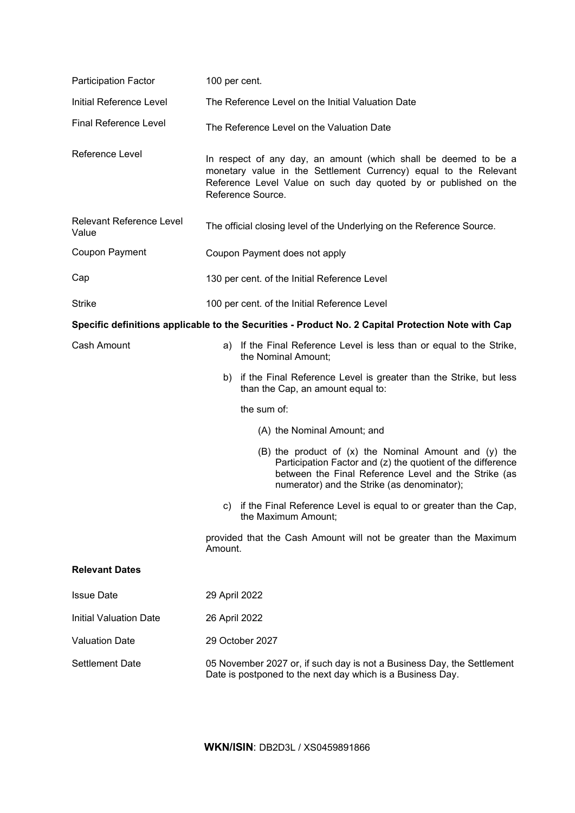| <b>Participation Factor</b>                                                                        | 100 per cent.                                                                                                                                                                                                                     |  |
|----------------------------------------------------------------------------------------------------|-----------------------------------------------------------------------------------------------------------------------------------------------------------------------------------------------------------------------------------|--|
| Initial Reference Level                                                                            | The Reference Level on the Initial Valuation Date                                                                                                                                                                                 |  |
| <b>Final Reference Level</b>                                                                       | The Reference Level on the Valuation Date                                                                                                                                                                                         |  |
| Reference Level                                                                                    | In respect of any day, an amount (which shall be deemed to be a<br>monetary value in the Settlement Currency) equal to the Relevant<br>Reference Level Value on such day quoted by or published on the<br>Reference Source.       |  |
| Relevant Reference Level<br>Value                                                                  | The official closing level of the Underlying on the Reference Source.                                                                                                                                                             |  |
| Coupon Payment                                                                                     | Coupon Payment does not apply                                                                                                                                                                                                     |  |
| Cap                                                                                                | 130 per cent. of the Initial Reference Level                                                                                                                                                                                      |  |
| <b>Strike</b>                                                                                      | 100 per cent. of the Initial Reference Level                                                                                                                                                                                      |  |
| Specific definitions applicable to the Securities - Product No. 2 Capital Protection Note with Cap |                                                                                                                                                                                                                                   |  |
| Cash Amount                                                                                        | a) If the Final Reference Level is less than or equal to the Strike,<br>the Nominal Amount;                                                                                                                                       |  |
|                                                                                                    | if the Final Reference Level is greater than the Strike, but less<br>b)<br>than the Cap, an amount equal to:                                                                                                                      |  |
|                                                                                                    | the sum of:                                                                                                                                                                                                                       |  |
|                                                                                                    | (A) the Nominal Amount; and                                                                                                                                                                                                       |  |
|                                                                                                    | $(B)$ the product of $(x)$ the Nominal Amount and $(y)$ the<br>Participation Factor and (z) the quotient of the difference<br>between the Final Reference Level and the Strike (as<br>numerator) and the Strike (as denominator); |  |
|                                                                                                    | c) if the Final Reference Level is equal to or greater than the Cap,<br>the Maximum Amount;                                                                                                                                       |  |
|                                                                                                    | provided that the Cash Amount will not be greater than the Maximum<br>Amount.                                                                                                                                                     |  |
| <b>Relevant Dates</b>                                                                              |                                                                                                                                                                                                                                   |  |
| <b>Issue Date</b>                                                                                  | 29 April 2022                                                                                                                                                                                                                     |  |
| <b>Initial Valuation Date</b>                                                                      | 26 April 2022                                                                                                                                                                                                                     |  |
| <b>Valuation Date</b>                                                                              | 29 October 2027                                                                                                                                                                                                                   |  |
| <b>Settlement Date</b>                                                                             | 05 November 2027 or, if such day is not a Business Day, the Settlement<br>Date is postponed to the next day which is a Business Day.                                                                                              |  |

**WKN/ISIN**: DB2D3L / XS0459891866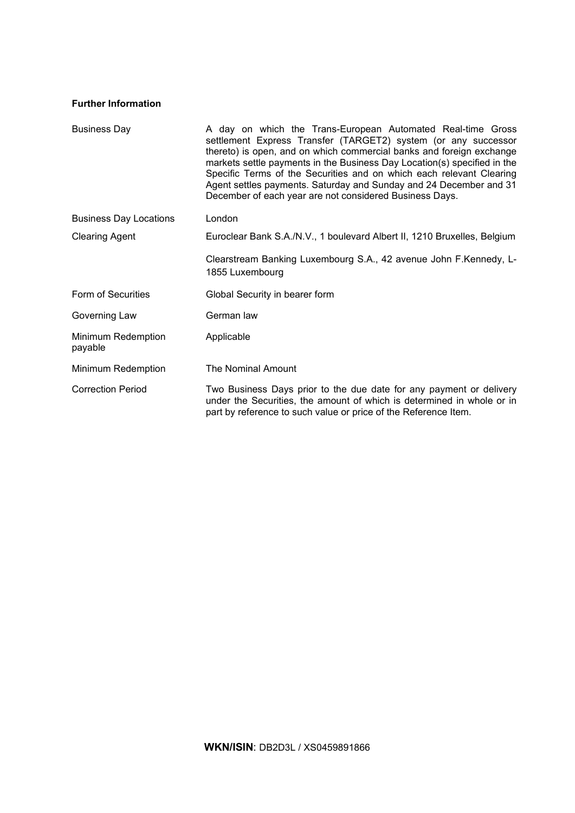# **Further Information**

| <b>Business Day</b>           | A day on which the Trans-European Automated Real-time Gross<br>settlement Express Transfer (TARGET2) system (or any successor<br>thereto) is open, and on which commercial banks and foreign exchange<br>markets settle payments in the Business Day Location(s) specified in the<br>Specific Terms of the Securities and on which each relevant Clearing<br>Agent settles payments. Saturday and Sunday and 24 December and 31<br>December of each year are not considered Business Days. |
|-------------------------------|--------------------------------------------------------------------------------------------------------------------------------------------------------------------------------------------------------------------------------------------------------------------------------------------------------------------------------------------------------------------------------------------------------------------------------------------------------------------------------------------|
| <b>Business Day Locations</b> | London                                                                                                                                                                                                                                                                                                                                                                                                                                                                                     |
| <b>Clearing Agent</b>         | Euroclear Bank S.A./N.V., 1 boulevard Albert II, 1210 Bruxelles, Belgium                                                                                                                                                                                                                                                                                                                                                                                                                   |
|                               | Clearstream Banking Luxembourg S.A., 42 avenue John F.Kennedy, L-<br>1855 Luxembourg                                                                                                                                                                                                                                                                                                                                                                                                       |
| Form of Securities            | Global Security in bearer form                                                                                                                                                                                                                                                                                                                                                                                                                                                             |
| Governing Law                 | German law                                                                                                                                                                                                                                                                                                                                                                                                                                                                                 |
| Minimum Redemption<br>payable | Applicable                                                                                                                                                                                                                                                                                                                                                                                                                                                                                 |
| Minimum Redemption            | The Nominal Amount                                                                                                                                                                                                                                                                                                                                                                                                                                                                         |
| <b>Correction Period</b>      | Two Business Days prior to the due date for any payment or delivery<br>under the Securities, the amount of which is determined in whole or in<br>part by reference to such value or price of the Reference Item.                                                                                                                                                                                                                                                                           |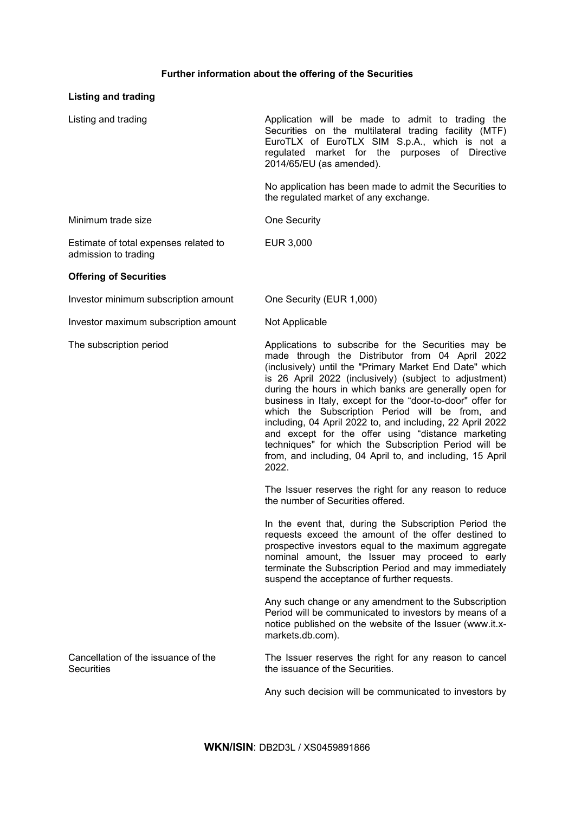# **Further information about the offering of the Securities**

# **Listing and trading**

| Listing and trading                                           | Application will be made to admit to trading the<br>Securities on the multilateral trading facility (MTF)<br>EuroTLX of EuroTLX SIM S.p.A., which is not a<br>regulated market for the purposes of Directive<br>2014/65/EU (as amended).                                                                                                                                                                                                                                                                                                                                                                                                                 |
|---------------------------------------------------------------|----------------------------------------------------------------------------------------------------------------------------------------------------------------------------------------------------------------------------------------------------------------------------------------------------------------------------------------------------------------------------------------------------------------------------------------------------------------------------------------------------------------------------------------------------------------------------------------------------------------------------------------------------------|
|                                                               | No application has been made to admit the Securities to<br>the regulated market of any exchange.                                                                                                                                                                                                                                                                                                                                                                                                                                                                                                                                                         |
| Minimum trade size                                            | <b>One Security</b>                                                                                                                                                                                                                                                                                                                                                                                                                                                                                                                                                                                                                                      |
| Estimate of total expenses related to<br>admission to trading | EUR 3,000                                                                                                                                                                                                                                                                                                                                                                                                                                                                                                                                                                                                                                                |
| <b>Offering of Securities</b>                                 |                                                                                                                                                                                                                                                                                                                                                                                                                                                                                                                                                                                                                                                          |
| Investor minimum subscription amount                          | One Security (EUR 1,000)                                                                                                                                                                                                                                                                                                                                                                                                                                                                                                                                                                                                                                 |
| Investor maximum subscription amount                          | Not Applicable                                                                                                                                                                                                                                                                                                                                                                                                                                                                                                                                                                                                                                           |
| The subscription period                                       | Applications to subscribe for the Securities may be<br>made through the Distributor from 04 April 2022<br>(inclusively) until the "Primary Market End Date" which<br>is 26 April 2022 (inclusively) (subject to adjustment)<br>during the hours in which banks are generally open for<br>business in Italy, except for the "door-to-door" offer for<br>which the Subscription Period will be from, and<br>including, 04 April 2022 to, and including, 22 April 2022<br>and except for the offer using "distance marketing<br>techniques" for which the Subscription Period will be<br>from, and including, 04 April to, and including, 15 April<br>2022. |
|                                                               | The Issuer reserves the right for any reason to reduce<br>the number of Securities offered.                                                                                                                                                                                                                                                                                                                                                                                                                                                                                                                                                              |
|                                                               | In the event that, during the Subscription Period the<br>requests exceed the amount of the offer destined to<br>prospective investors equal to the maximum aggregate<br>nominal amount, the Issuer may proceed to early<br>terminate the Subscription Period and may immediately<br>suspend the acceptance of further requests.                                                                                                                                                                                                                                                                                                                          |
|                                                               | Any such change or any amendment to the Subscription<br>Period will be communicated to investors by means of a<br>notice published on the website of the Issuer (www.it.x-<br>markets.db.com).                                                                                                                                                                                                                                                                                                                                                                                                                                                           |
| Cancellation of the issuance of the<br><b>Securities</b>      | The Issuer reserves the right for any reason to cancel<br>the issuance of the Securities.                                                                                                                                                                                                                                                                                                                                                                                                                                                                                                                                                                |
|                                                               | Any such decision will be communicated to investors by                                                                                                                                                                                                                                                                                                                                                                                                                                                                                                                                                                                                   |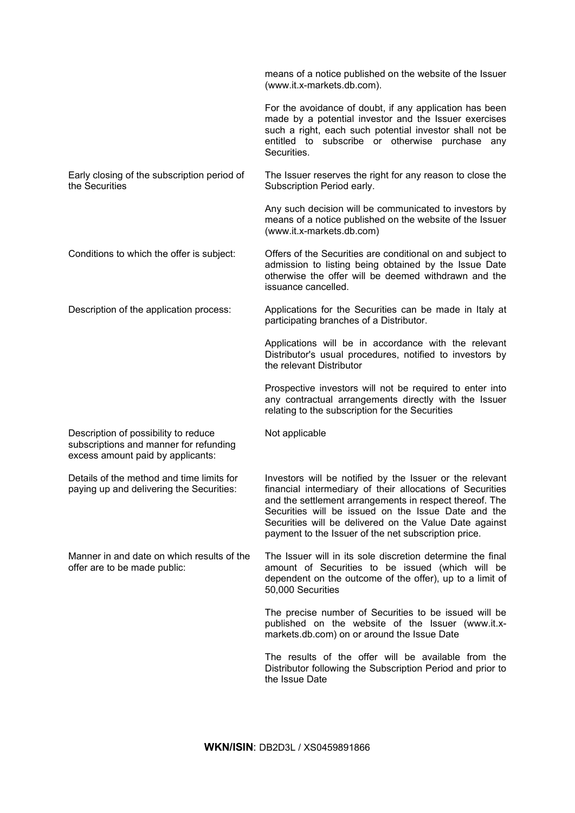|                                                                                                                     | means of a notice published on the website of the Issuer<br>(www.it.x-markets.db.com).                                                                                                                                                                                                                                                                    |
|---------------------------------------------------------------------------------------------------------------------|-----------------------------------------------------------------------------------------------------------------------------------------------------------------------------------------------------------------------------------------------------------------------------------------------------------------------------------------------------------|
|                                                                                                                     | For the avoidance of doubt, if any application has been<br>made by a potential investor and the Issuer exercises<br>such a right, each such potential investor shall not be<br>entitled to subscribe or otherwise purchase any<br>Securities.                                                                                                             |
| Early closing of the subscription period of<br>the Securities                                                       | The Issuer reserves the right for any reason to close the<br>Subscription Period early.                                                                                                                                                                                                                                                                   |
|                                                                                                                     | Any such decision will be communicated to investors by<br>means of a notice published on the website of the Issuer<br>(www.it.x-markets.db.com)                                                                                                                                                                                                           |
| Conditions to which the offer is subject:                                                                           | Offers of the Securities are conditional on and subject to<br>admission to listing being obtained by the Issue Date<br>otherwise the offer will be deemed withdrawn and the<br>issuance cancelled.                                                                                                                                                        |
| Description of the application process:                                                                             | Applications for the Securities can be made in Italy at<br>participating branches of a Distributor.                                                                                                                                                                                                                                                       |
|                                                                                                                     | Applications will be in accordance with the relevant<br>Distributor's usual procedures, notified to investors by<br>the relevant Distributor                                                                                                                                                                                                              |
|                                                                                                                     | Prospective investors will not be required to enter into<br>any contractual arrangements directly with the Issuer<br>relating to the subscription for the Securities                                                                                                                                                                                      |
| Description of possibility to reduce<br>subscriptions and manner for refunding<br>excess amount paid by applicants: | Not applicable                                                                                                                                                                                                                                                                                                                                            |
| Details of the method and time limits for<br>paying up and delivering the Securities:                               | Investors will be notified by the Issuer or the relevant<br>financial intermediary of their allocations of Securities<br>and the settlement arrangements in respect thereof. The<br>Securities will be issued on the Issue Date and the<br>Securities will be delivered on the Value Date against<br>payment to the Issuer of the net subscription price. |
| Manner in and date on which results of the<br>offer are to be made public:                                          | The Issuer will in its sole discretion determine the final<br>amount of Securities to be issued (which will be<br>dependent on the outcome of the offer), up to a limit of<br>50,000 Securities                                                                                                                                                           |
|                                                                                                                     | The precise number of Securities to be issued will be<br>published on the website of the Issuer (www.it.x-<br>markets.db.com) on or around the Issue Date                                                                                                                                                                                                 |
|                                                                                                                     | The results of the offer will be available from the<br>Distributor following the Subscription Period and prior to<br>the Issue Date                                                                                                                                                                                                                       |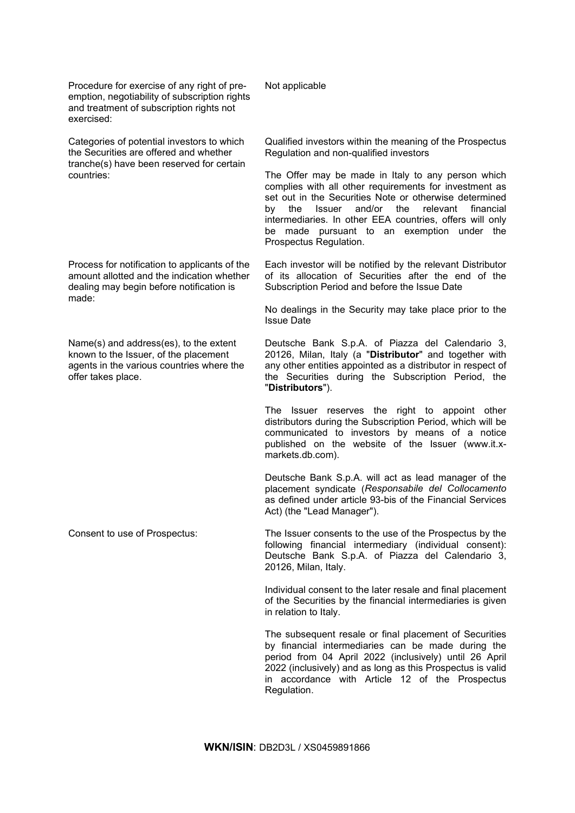Procedure for exercise of any right of preemption, negotiability of subscription rights and treatment of subscription rights not exercised:

Categories of potential investors to which the Securities are offered and whether tranche(s) have been reserved for certain countries:

Process for notification to applicants of the amount allotted and the indication whether dealing may begin before notification is made:

Name(s) and address(es), to the extent known to the Issuer, of the placement agents in the various countries where the offer takes place.

Not applicable

Qualified investors within the meaning of the Prospectus Regulation and non-qualified investors

The Offer may be made in Italy to any person which complies with all other requirements for investment as set out in the Securities Note or otherwise determined by the Issuer and/or the relevant financial intermediaries. In other EEA countries, offers will only be made pursuant to an exemption under the Prospectus Regulation.

Each investor will be notified by the relevant Distributor of its allocation of Securities after the end of the Subscription Period and before the Issue Date

No dealings in the Security may take place prior to the Issue Date

Deutsche Bank S.p.A. of Piazza del Calendario 3, 20126, Milan, Italy (a "**Distributor**" and together with any other entities appointed as a distributor in respect of the Securities during the Subscription Period, the "**Distributors**").

The Issuer reserves the right to appoint other distributors during the Subscription Period, which will be communicated to investors by means of a notice published on the website of the Issuer (www.it.xmarkets.db.com).

Deutsche Bank S.p.A. will act as lead manager of the placement syndicate (*Responsabile del Collocamento*  as defined under article 93-bis of the Financial Services Act) (the "Lead Manager").

Consent to use of Prospectus: The Issuer consents to the use of the Prospectus by the following financial intermediary (individual consent): Deutsche Bank S.p.A. of Piazza del Calendario 3, 20126, Milan, Italy.

> Individual consent to the later resale and final placement of the Securities by the financial intermediaries is given in relation to Italy.

> The subsequent resale or final placement of Securities by financial intermediaries can be made during the period from 04 April 2022 (inclusively) until 26 April 2022 (inclusively) and as long as this Prospectus is valid in accordance with Article 12 of the Prospectus Regulation.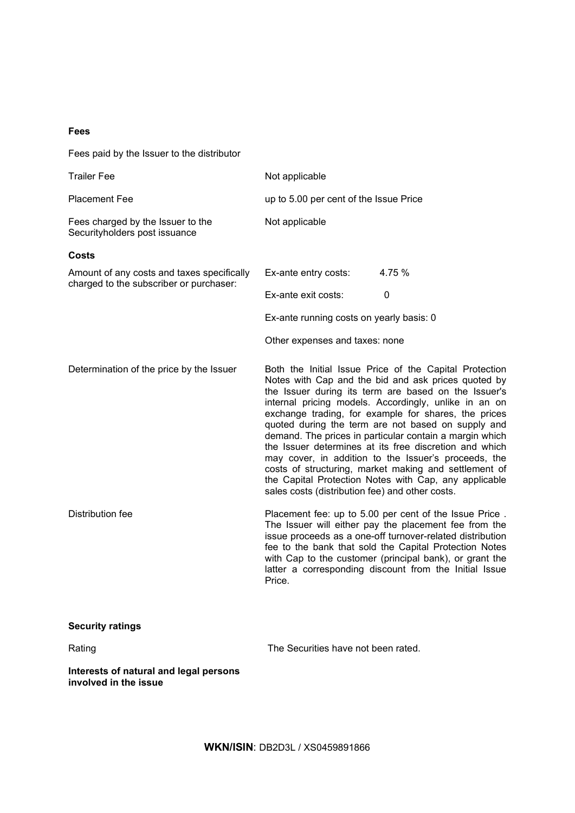# **Fees**

Fees paid by the Issuer to the distributor

**involved in the issue**

| <b>Trailer Fee</b>                                                                    | Not applicable                                                                                                                                                                                                                                                                                                                                                                                                                                                                                                                                                                                                                                                                                 |
|---------------------------------------------------------------------------------------|------------------------------------------------------------------------------------------------------------------------------------------------------------------------------------------------------------------------------------------------------------------------------------------------------------------------------------------------------------------------------------------------------------------------------------------------------------------------------------------------------------------------------------------------------------------------------------------------------------------------------------------------------------------------------------------------|
| <b>Placement Fee</b>                                                                  | up to 5.00 per cent of the Issue Price                                                                                                                                                                                                                                                                                                                                                                                                                                                                                                                                                                                                                                                         |
| Fees charged by the Issuer to the<br>Securityholders post issuance                    | Not applicable                                                                                                                                                                                                                                                                                                                                                                                                                                                                                                                                                                                                                                                                                 |
| Costs                                                                                 |                                                                                                                                                                                                                                                                                                                                                                                                                                                                                                                                                                                                                                                                                                |
| Amount of any costs and taxes specifically<br>charged to the subscriber or purchaser: | 4.75 %<br>Ex-ante entry costs:                                                                                                                                                                                                                                                                                                                                                                                                                                                                                                                                                                                                                                                                 |
|                                                                                       | Ex-ante exit costs:<br>0                                                                                                                                                                                                                                                                                                                                                                                                                                                                                                                                                                                                                                                                       |
|                                                                                       | Ex-ante running costs on yearly basis: 0                                                                                                                                                                                                                                                                                                                                                                                                                                                                                                                                                                                                                                                       |
|                                                                                       | Other expenses and taxes: none                                                                                                                                                                                                                                                                                                                                                                                                                                                                                                                                                                                                                                                                 |
| Determination of the price by the Issuer                                              | Both the Initial Issue Price of the Capital Protection<br>Notes with Cap and the bid and ask prices quoted by<br>the Issuer during its term are based on the Issuer's<br>internal pricing models. Accordingly, unlike in an on<br>exchange trading, for example for shares, the prices<br>quoted during the term are not based on supply and<br>demand. The prices in particular contain a margin which<br>the Issuer determines at its free discretion and which<br>may cover, in addition to the Issuer's proceeds, the<br>costs of structuring, market making and settlement of<br>the Capital Protection Notes with Cap, any applicable<br>sales costs (distribution fee) and other costs. |
| Distribution fee                                                                      | Placement fee: up to 5.00 per cent of the Issue Price.<br>The Issuer will either pay the placement fee from the<br>issue proceeds as a one-off turnover-related distribution<br>fee to the bank that sold the Capital Protection Notes<br>with Cap to the customer (principal bank), or grant the<br>latter a corresponding discount from the Initial Issue<br>Price.                                                                                                                                                                                                                                                                                                                          |
| <b>Security ratings</b>                                                               |                                                                                                                                                                                                                                                                                                                                                                                                                                                                                                                                                                                                                                                                                                |
| Rating                                                                                | The Securities have not been rated.                                                                                                                                                                                                                                                                                                                                                                                                                                                                                                                                                                                                                                                            |
| Interests of natural and legal persons                                                |                                                                                                                                                                                                                                                                                                                                                                                                                                                                                                                                                                                                                                                                                                |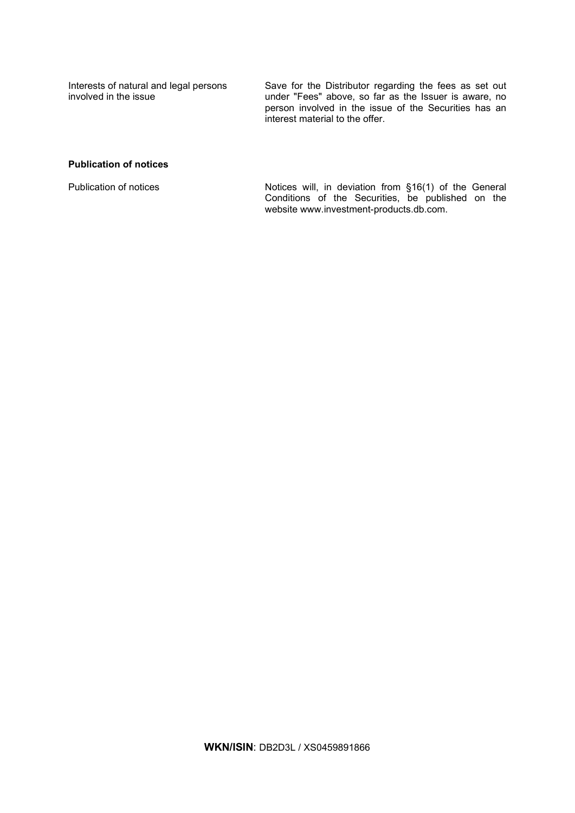Interests of natural and legal persons involved in the issue

Save for the Distributor regarding the fees as set out under "Fees" above, so far as the Issuer is aware, no person involved in the issue of the Securities has an interest material to the offer.

# **Publication of notices**

Publication of notices Notices will, in deviation from §16(1) of the General Conditions of the Securities, be published on the website www.investment-products.db.com.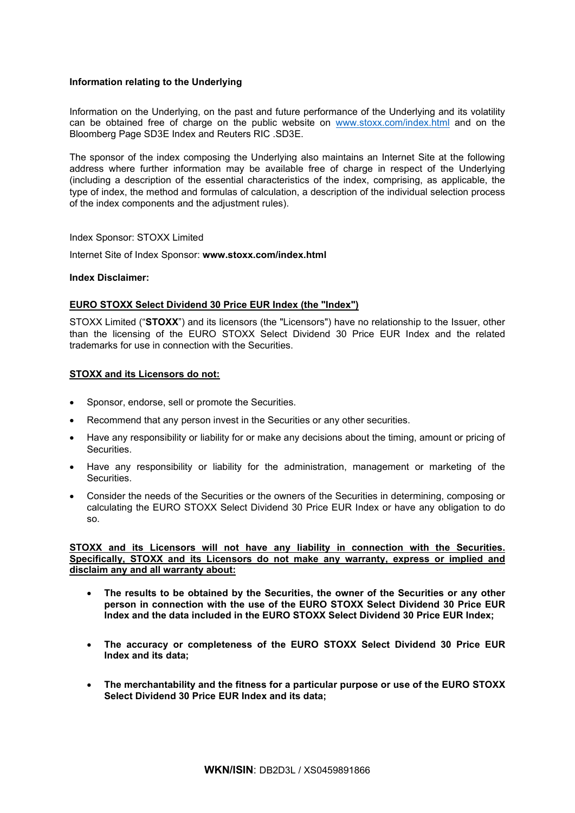# **Information relating to the Underlying**

Information on the Underlying, on the past and future performance of the Underlying and its volatility can be obtained free of charge on the public website on [www.stoxx.com/index.html](http://www.stoxx.com/index.html) and on the Bloomberg Page SD3E Index and Reuters RIC .SD3E.

The sponsor of the index composing the Underlying also maintains an Internet Site at the following address where further information may be available free of charge in respect of the Underlying (including a description of the essential characteristics of the index, comprising, as applicable, the type of index, the method and formulas of calculation, a description of the individual selection process of the index components and the adjustment rules).

# Index Sponsor: STOXX Limited

Internet Site of Index Sponsor: **www.stoxx.com/index.html**

# **Index Disclaimer:**

# **EURO STOXX Select Dividend 30 Price EUR Index (the "Index")**

STOXX Limited ("**STOXX**") and its licensors (the "Licensors") have no relationship to the Issuer, other than the licensing of the EURO STOXX Select Dividend 30 Price EUR Index and the related trademarks for use in connection with the Securities.

# **STOXX and its Licensors do not:**

- Sponsor, endorse, sell or promote the Securities.
- Recommend that any person invest in the Securities or any other securities.
- Have any responsibility or liability for or make any decisions about the timing, amount or pricing of Securities.
- Have any responsibility or liability for the administration, management or marketing of the Securities.
- Consider the needs of the Securities or the owners of the Securities in determining, composing or calculating the EURO STOXX Select Dividend 30 Price EUR Index or have any obligation to do so.

**STOXX and its Licensors will not have any liability in connection with the Securities. Specifically, STOXX and its Licensors do not make any warranty, express or implied and disclaim any and all warranty about:**

- **The results to be obtained by the Securities, the owner of the Securities or any other person in connection with the use of the EURO STOXX Select Dividend 30 Price EUR Index and the data included in the EURO STOXX Select Dividend 30 Price EUR Index;**
- **The accuracy or completeness of the EURO STOXX Select Dividend 30 Price EUR Index and its data;**
- **The merchantability and the fitness for a particular purpose or use of the EURO STOXX Select Dividend 30 Price EUR Index and its data;**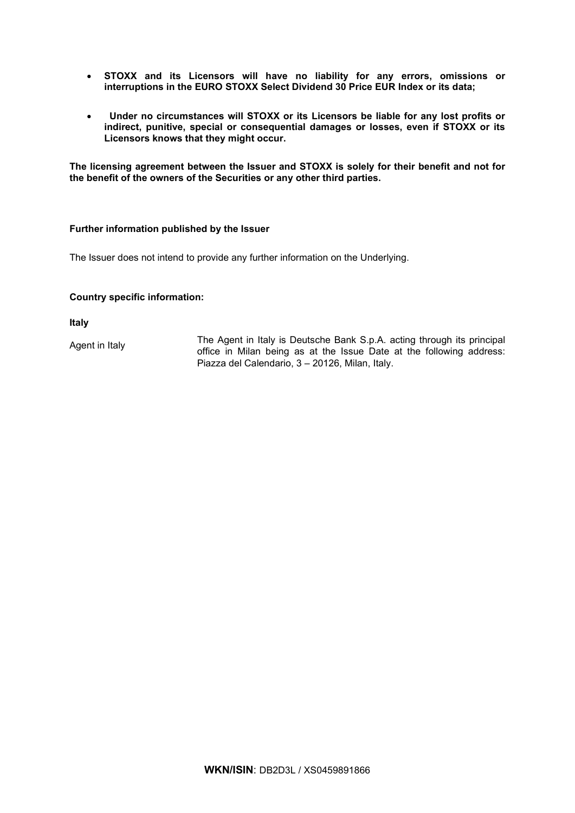- **STOXX and its Licensors will have no liability for any errors, omissions or interruptions in the EURO STOXX Select Dividend 30 Price EUR Index or its data;**
- • **Under no circumstances will STOXX or its Licensors be liable for any lost profits or indirect, punitive, special or consequential damages or losses, even if STOXX or its Licensors knows that they might occur.**

**The licensing agreement between the Issuer and STOXX is solely for their benefit and not for the benefit of the owners of the Securities or any other third parties.**

# **Further information published by the Issuer**

The Issuer does not intend to provide any further information on the Underlying.

# **Country specific information:**

**Italy**

Agent in Italy The Agent in Italy is Deutsche Bank S.p.A. acting through its principal office in Milan being as at the Issue Date at the following address: Piazza del Calendario, 3 – 20126, Milan, Italy.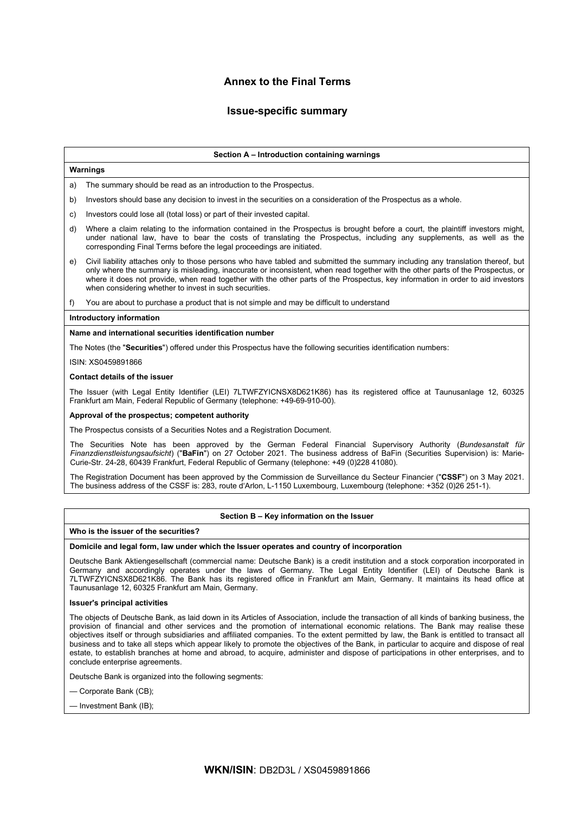# **Annex to the Final Terms**

# **Issue-specific summary**

### **Section A – Introduction containing warnings**

## **Warnings**

a) The summary should be read as an introduction to the Prospectus.

- b) Investors should base any decision to invest in the securities on a consideration of the Prospectus as a whole.
- c) Investors could lose all (total loss) or part of their invested capital.
- d) Where a claim relating to the information contained in the Prospectus is brought before a court, the plaintiff investors might, under national law, have to bear the costs of translating the Prospectus, including any supplements, as well as the corresponding Final Terms before the legal proceedings are initiated.
- e) Civil liability attaches only to those persons who have tabled and submitted the summary including any translation thereof, but only where the summary is misleading, inaccurate or inconsistent, when read together with the other parts of the Prospectus, or where it does not provide, when read together with the other parts of the Prospectus, key information in order to aid investors when considering whether to invest in such securities.
- f) You are about to purchase a product that is not simple and may be difficult to understand

### **Introductory information**

### **Name and international securities identification number**

The Notes (the "**Securities**") offered under this Prospectus have the following securities identification numbers:

ISIN: XS0459891866

## **Contact details of the issuer**

The Issuer (with Legal Entity Identifier (LEI) 7LTWFZYICNSX8D621K86) has its registered office at Taunusanlage 12, 60325 Frankfurt am Main, Federal Republic of Germany (telephone: +49-69-910-00).

#### **Approval of the prospectus; competent authority**

The Prospectus consists of a Securities Notes and a Registration Document.

The Securities Note has been approved by the German Federal Financial Supervisory Authority (*Bundesanstalt für Finanzdienstleistungsaufsicht*) ("**BaFin**") on 27 October 2021. The business address of BaFin (Securities Supervision) is: Marie-Curie-Str. 24-28, 60439 Frankfurt, Federal Republic of Germany (telephone: +49 (0)228 41080).

The Registration Document has been approved by the Commission de Surveillance du Secteur Financier ("**CSSF**") on 3 May 2021. The business address of the CSSF is: 283, route d'Arlon, L-1150 Luxembourg, Luxembourg (telephone: +352 (0)26 251-1).

### **Section B – Key information on the Issuer**

#### **Who is the issuer of the securities?**

#### **Domicile and legal form, law under which the Issuer operates and country of incorporation**

Deutsche Bank Aktiengesellschaft (commercial name: Deutsche Bank) is a credit institution and a stock corporation incorporated in Germany and accordingly operates under the laws of Germany. The Legal Entity Identifier (LEI) of Deutsche Bank is 7LTWFZYICNSX8D621K86. The Bank has its registered office in Frankfurt am Main, Germany. It maintains its head office at Taunusanlage 12, 60325 Frankfurt am Main, Germany.

#### **Issuer's principal activities**

The objects of Deutsche Bank, as laid down in its Articles of Association, include the transaction of all kinds of banking business, the provision of financial and other services and the promotion of international economic relations. The Bank may realise these objectives itself or through subsidiaries and affiliated companies. To the extent permitted by law, the Bank is entitled to transact all business and to take all steps which appear likely to promote the objectives of the Bank, in particular to acquire and dispose of real estate, to establish branches at home and abroad, to acquire, administer and dispose of participations in other enterprises, and to conclude enterprise agreements.

Deutsche Bank is organized into the following segments:

— Corporate Bank (CB);

— Investment Bank (IB);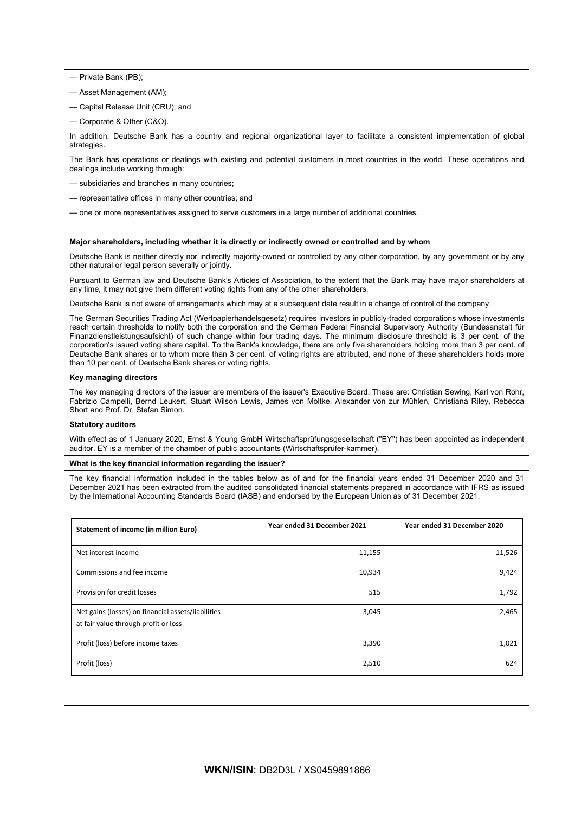— Private Bank (PB);

- Asset Management (AM);
- Capital Release Unit (CRU); and
- Corporate & Other (C&O).

In addition, Deutsche Bank has a country and regional organizational layer to facilitate a consistent implementation of global strategies

The Bank has operations or dealings with existing and potential customers in most countries in the world. These operations and dealings include working through:

- subsidiaries and branches in many countries;
- representative offices in many other countries; and
- one or more representatives assigned to serve customers in a large number of additional countries.

### **Major shareholders, including whether it is directly or indirectly owned or controlled and by whom**

Deutsche Bank is neither directly nor indirectly majority-owned or controlled by any other corporation, by any government or by any other natural or legal person severally or jointly.

Pursuant to German law and Deutsche Bank's Articles of Association, to the extent that the Bank may have major shareholders at any time, it may not give them different voting rights from any of the other shareholders.

Deutsche Bank is not aware of arrangements which may at a subsequent date result in a change of control of the company.

The German Securities Trading Act (Wertpapierhandelsgesetz) requires investors in publicly-traded corporations whose investments reach certain thresholds to notify both the corporation and the German Federal Financial Supervisory Authority (Bundesanstalt für Finanzdienstleistungsaufsicht) of such change within four trading days. The minimum disclosure threshold is 3 per cent. of the corporation's issued voting share capital. To the Bank's knowledge, there are only five shareholders holding more than 3 per cent. of Deutsche Bank shares or to whom more than 3 per cent. of voting rights are attributed, and none of these shareholders holds more than 10 per cent. of Deutsche Bank shares or voting rights.

### **Key managing directors**

The key managing directors of the issuer are members of the issuer's Executive Board. These are: Christian Sewing, Karl von Rohr, Fabrizio Campelli, Bernd Leukert, Stuart Wilson Lewis, James von Moltke, Alexander von zur Mühlen, Christiana Riley, Rebecca Short and Prof. Dr. Stefan Simon.

#### **Statutory auditors**

With effect as of 1 January 2020, Ernst & Young GmbH Wirtschaftsprüfungsgesellschaft ("EY") has been appointed as independent auditor. EY is a member of the chamber of public accountants (Wirtschaftsprüfer-kammer).

### **What is the key financial information regarding the issuer?**

The key financial information included in the tables below as of and for the financial years ended 31 December 2020 and 31 December 2021 has been extracted from the audited consolidated financial statements prepared in accordance with IFRS as issued by the International Accounting Standards Board (IASB) and endorsed by the European Union as of 31 December 2021.

| <b>Statement of income (in million Euro)</b>                                               | Year ended 31 December 2021 | Year ended 31 December 2020 |
|--------------------------------------------------------------------------------------------|-----------------------------|-----------------------------|
| Net interest income                                                                        | 11,155                      | 11,526                      |
| Commissions and fee income                                                                 | 10,934                      | 9,424                       |
| Provision for credit losses                                                                | 515                         | 1,792                       |
| Net gains (losses) on financial assets/liabilities<br>at fair value through profit or loss | 3,045                       | 2,465                       |
| Profit (loss) before income taxes                                                          | 3,390                       | 1,021                       |
| Profit (loss)                                                                              | 2,510                       | 624                         |
|                                                                                            |                             |                             |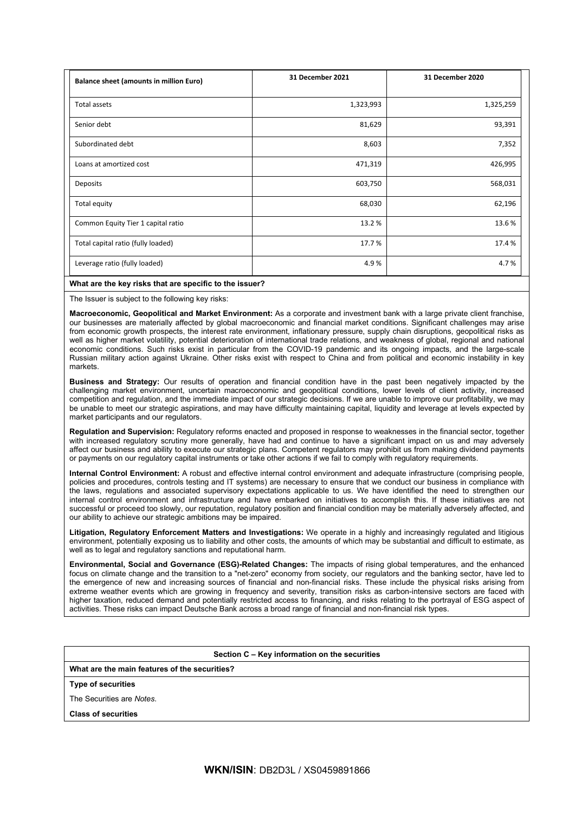| <b>Balance sheet (amounts in million Euro)</b> | <b>31 December 2021</b> | 31 December 2020 |
|------------------------------------------------|-------------------------|------------------|
| Total assets                                   | 1,323,993               | 1,325,259        |
| Senior debt                                    | 81,629                  | 93,391           |
| Subordinated debt                              | 8,603                   | 7,352            |
| Loans at amortized cost                        | 471,319                 | 426,995          |
| Deposits                                       | 603,750                 | 568,031          |
| Total equity                                   | 68,030                  | 62,196           |
| Common Equity Tier 1 capital ratio             | 13.2%                   | 13.6%            |
| Total capital ratio (fully loaded)             | 17.7%                   | 17.4 %           |
| Leverage ratio (fully loaded)                  | 4.9%                    | 4.7%             |

## **What are the key risks that are specific to the issuer?**

The Issuer is subject to the following key risks:

**Macroeconomic, Geopolitical and Market Environment:** As a corporate and investment bank with a large private client franchise, our businesses are materially affected by global macroeconomic and financial market conditions. Significant challenges may arise from economic growth prospects, the interest rate environment, inflationary pressure, supply chain disruptions, geopolitical risks as well as higher market volatility, potential deterioration of international trade relations, and weakness of global, regional and national economic conditions. Such risks exist in particular from the COVID-19 pandemic and its ongoing impacts, and the large-scale Russian military action against Ukraine. Other risks exist with respect to China and from political and economic instability in key markets.

**Business and Strategy:** Our results of operation and financial condition have in the past been negatively impacted by the challenging market environment, uncertain macroeconomic and geopolitical conditions, lower levels of client activity, increased competition and regulation, and the immediate impact of our strategic decisions. If we are unable to improve our profitability, we may be unable to meet our strategic aspirations, and may have difficulty maintaining capital, liquidity and leverage at levels expected by market participants and our regulators.

**Regulation and Supervision:** Regulatory reforms enacted and proposed in response to weaknesses in the financial sector, together with increased regulatory scrutiny more generally, have had and continue to have a significant impact on us and may adversely affect our business and ability to execute our strategic plans. Competent regulators may prohibit us from making dividend payments or payments on our regulatory capital instruments or take other actions if we fail to comply with regulatory requirements.

**Internal Control Environment:** A robust and effective internal control environment and adequate infrastructure (comprising people, policies and procedures, controls testing and IT systems) are necessary to ensure that we conduct our business in compliance with the laws, regulations and associated supervisory expectations applicable to us. We have identified the need to strengthen our internal control environment and infrastructure and have embarked on initiatives to accomplish this. If these initiatives are not successful or proceed too slowly, our reputation, regulatory position and financial condition may be materially adversely affected, and our ability to achieve our strategic ambitions may be impaired.

**Litigation, Regulatory Enforcement Matters and Investigations:** We operate in a highly and increasingly regulated and litigious environment, potentially exposing us to liability and other costs, the amounts of which may be substantial and difficult to estimate, as well as to legal and regulatory sanctions and reputational harm.

**Environmental, Social and Governance (ESG)-Related Changes:** The impacts of rising global temperatures, and the enhanced focus on climate change and the transition to a "net-zero" economy from society, our regulators and the banking sector, have led to the emergence of new and increasing sources of financial and non-financial risks. These include the physical risks arising from extreme weather events which are growing in frequency and severity, transition risks as carbon-intensive sectors are faced with higher taxation, reduced demand and potentially restricted access to financing, and risks relating to the portrayal of ESG aspect of activities. These risks can impact Deutsche Bank across a broad range of financial and non-financial risk types.

### **Section C – Key information on the securities**

**What are the main features of the securities?**

**Type of securities**

The Securities are *Notes*.

**Class of securities**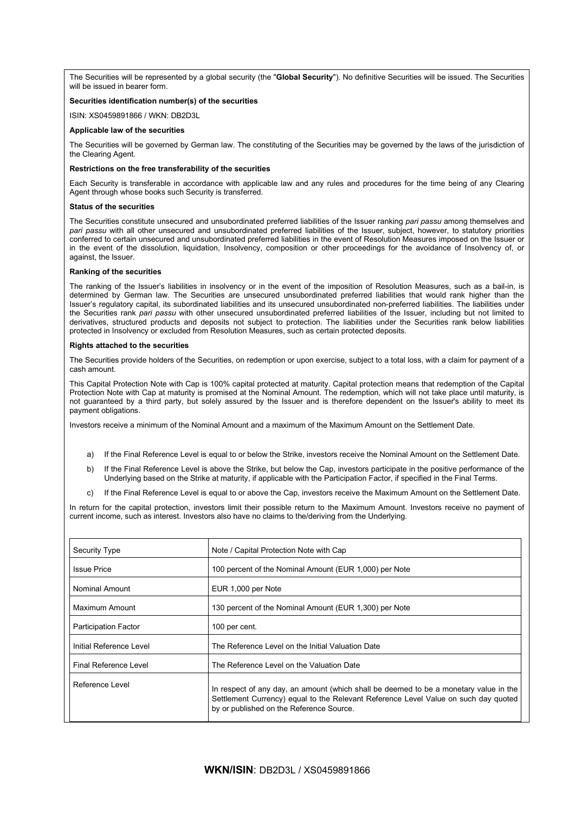The Securities will be represented by a global security (the "**Global Security**"). No definitive Securities will be issued. The Securities will be issued in bearer form.

# **Securities identification number(s) of the securities**

ISIN: XS0459891866 / WKN: DB2D3L

### **Applicable law of the securities**

The Securities will be governed by German law. The constituting of the Securities may be governed by the laws of the jurisdiction of the Clearing Agent.

### **Restrictions on the free transferability of the securities**

Each Security is transferable in accordance with applicable law and any rules and procedures for the time being of any Clearing Agent through whose books such Security is transferred.

#### **Status of the securities**

The Securities constitute unsecured and unsubordinated preferred liabilities of the Issuer ranking *pari passu* among themselves and *pari passu* with all other unsecured and unsubordinated preferred liabilities of the Issuer, subject, however, to statutory priorities conferred to certain unsecured and unsubordinated preferred liabilities in the event of Resolution Measures imposed on the Issuer or in the event of the dissolution, liquidation, Insolvency, composition or other proceedings for the avoidance of Insolvency of, or against, the Issuer.

### **Ranking of the securities**

The ranking of the Issuer's liabilities in insolvency or in the event of the imposition of Resolution Measures, such as a bail-in, is determined by German law. The Securities are unsecured unsubordinated preferred liabilities that would rank higher than the Issuer's regulatory capital, its subordinated liabilities and its unsecured unsubordinated non-preferred liabilities. The liabilities under the Securities rank *pari passu* with other unsecured unsubordinated preferred liabilities of the Issuer, including but not limited to derivatives, structured products and deposits not subject to protection. The liabilities under the Securities rank below liabilities protected in Insolvency or excluded from Resolution Measures, such as certain protected deposits.

### **Rights attached to the securities**

The Securities provide holders of the Securities, on redemption or upon exercise, subject to a total loss, with a claim for payment of a cash amount.

This Capital Protection Note with Cap is 100% capital protected at maturity. Capital protection means that redemption of the Capital Protection Note with Cap at maturity is promised at the Nominal Amount. The redemption, which will not take place until maturity, is not guaranteed by a third party, but solely assured by the Issuer and is therefore dependent on the Issuer's ability to meet its payment obligations.

Investors receive a minimum of the Nominal Amount and a maximum of the Maximum Amount on the Settlement Date.

- a) If the Final Reference Level is equal to or below the Strike, investors receive the Nominal Amount on the Settlement Date.
- b) If the Final Reference Level is above the Strike, but below the Cap, investors participate in the positive performance of the Underlying based on the Strike at maturity, if applicable with the Participation Factor, if specified in the Final Terms.
- c) If the Final Reference Level is equal to or above the Cap, investors receive the Maximum Amount on the Settlement Date.

In return for the capital protection, investors limit their possible return to the Maximum Amount. Investors receive no payment of current income, such as interest. Investors also have no claims to the/deriving from the Underlying.

| <b>Security Type</b>        | Note / Capital Protection Note with Cap                                                                                                                                                                                  |
|-----------------------------|--------------------------------------------------------------------------------------------------------------------------------------------------------------------------------------------------------------------------|
| <b>Issue Price</b>          | 100 percent of the Nominal Amount (EUR 1,000) per Note                                                                                                                                                                   |
| Nominal Amount              | EUR 1,000 per Note                                                                                                                                                                                                       |
| Maximum Amount              | 130 percent of the Nominal Amount (EUR 1,300) per Note                                                                                                                                                                   |
| <b>Participation Factor</b> | 100 per cent.                                                                                                                                                                                                            |
| Initial Reference Level     | The Reference Level on the Initial Valuation Date                                                                                                                                                                        |
| Final Reference Level       | The Reference Level on the Valuation Date                                                                                                                                                                                |
| Reference Level             | In respect of any day, an amount (which shall be deemed to be a monetary value in the<br>Settlement Currency) equal to the Relevant Reference Level Value on such day quoted<br>by or published on the Reference Source. |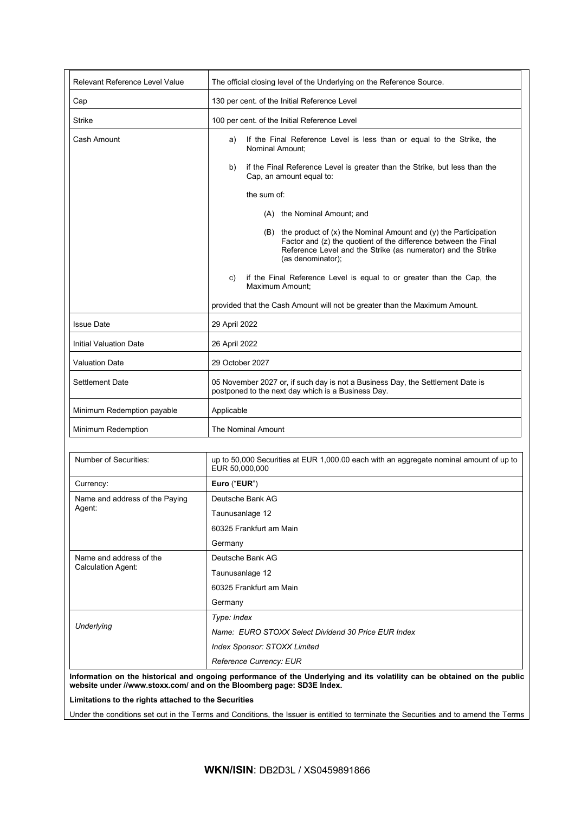| Relevant Reference Level Value | The official closing level of the Underlying on the Reference Source.                                                                                                                                                             |  |
|--------------------------------|-----------------------------------------------------------------------------------------------------------------------------------------------------------------------------------------------------------------------------------|--|
| Cap                            | 130 per cent. of the Initial Reference Level                                                                                                                                                                                      |  |
| <b>Strike</b>                  | 100 per cent. of the Initial Reference Level                                                                                                                                                                                      |  |
| Cash Amount                    | If the Final Reference Level is less than or equal to the Strike, the<br>a)<br>Nominal Amount;                                                                                                                                    |  |
|                                | if the Final Reference Level is greater than the Strike, but less than the<br>b)<br>Cap, an amount equal to:                                                                                                                      |  |
|                                | the sum of:                                                                                                                                                                                                                       |  |
|                                | (A) the Nominal Amount; and                                                                                                                                                                                                       |  |
|                                | $(B)$ the product of $(x)$ the Nominal Amount and $(y)$ the Participation<br>Factor and (z) the quotient of the difference between the Final<br>Reference Level and the Strike (as numerator) and the Strike<br>(as denominator); |  |
|                                | if the Final Reference Level is equal to or greater than the Cap, the<br>C)<br>Maximum Amount;                                                                                                                                    |  |
|                                | provided that the Cash Amount will not be greater than the Maximum Amount.                                                                                                                                                        |  |
| <b>Issue Date</b>              | 29 April 2022                                                                                                                                                                                                                     |  |
| <b>Initial Valuation Date</b>  | 26 April 2022                                                                                                                                                                                                                     |  |
| <b>Valuation Date</b>          | 29 October 2027                                                                                                                                                                                                                   |  |
| Settlement Date                | 05 November 2027 or, if such day is not a Business Day, the Settlement Date is<br>postponed to the next day which is a Business Day.                                                                                              |  |
| Minimum Redemption payable     | Applicable                                                                                                                                                                                                                        |  |
| Minimum Redemption             | <b>The Nominal Amount</b>                                                                                                                                                                                                         |  |
|                                |                                                                                                                                                                                                                                   |  |
| Number of Securities:          | up to 50,000 Securities at EUR 1,000.00 each with an aggregate nominal amount of up to<br>EUR 50,000,000                                                                                                                          |  |
| Currency:                      | Euro ("EUR")                                                                                                                                                                                                                      |  |
| Name and address of the Paying | Deutsche Bank AG                                                                                                                                                                                                                  |  |
| Agent:                         | Taunusanlage 12                                                                                                                                                                                                                   |  |
|                                | 60325 Frankfurt am Main                                                                                                                                                                                                           |  |
|                                | Germany                                                                                                                                                                                                                           |  |
| Name and address of the        | Deutsche Bank AG                                                                                                                                                                                                                  |  |
| <b>Calculation Agent:</b>      | Taunusanlage 12                                                                                                                                                                                                                   |  |
|                                | 60325 Frankfurt am Main                                                                                                                                                                                                           |  |
|                                | Germany                                                                                                                                                                                                                           |  |
|                                | Type: Index                                                                                                                                                                                                                       |  |
| <b>Underlying</b>              | Name: EURO STOXX Select Dividend 30 Price EUR Index                                                                                                                                                                               |  |
|                                | Index Sponsor: STOXX Limited                                                                                                                                                                                                      |  |
|                                | Reference Currency: EUR                                                                                                                                                                                                           |  |

**Limitations to the rights attached to the Securities**

Under the conditions set out in the Terms and Conditions, the Issuer is entitled to terminate the Securities and to amend the Terms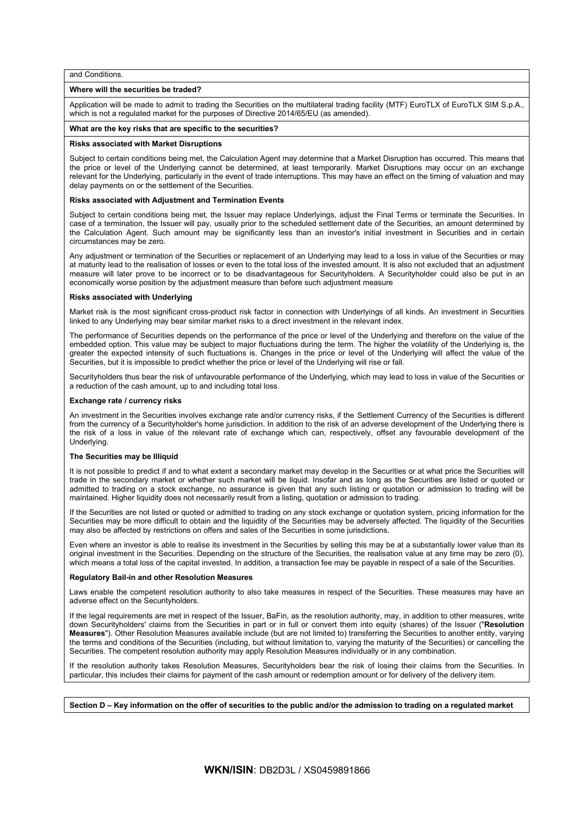and Conditions.

### **Where will the securities be traded?**

Application will be made to admit to trading the Securities on the multilateral trading facility (MTF) EuroTLX of EuroTLX SIM S.p.A., which is not a regulated market for the purposes of Directive 2014/65/EU (as amended).

### **What are the key risks that are specific to the securities?**

#### **Risks associated with Market Disruptions**

Subject to certain conditions being met, the Calculation Agent may determine that a Market Disruption has occurred. This means that the price or level of the Underlying cannot be determined, at least temporarily. Market Disruptions may occur on an exchange relevant for the Underlying, particularly in the event of trade interruptions. This may have an effect on the timing of valuation and may delay payments on or the settlement of the Securities.

### **Risks associated with Adjustment and Termination Events**

Subject to certain conditions being met, the Issuer may replace Underlyings, adjust the Final Terms or terminate the Securities. In case of a termination, the Issuer will pay, usually prior to the scheduled settlement date of the Securities, an amount determined by the Calculation Agent. Such amount may be significantly less than an investor's initial investment in Securities and in certain circumstances may be zero.

Any adjustment or termination of the Securities or replacement of an Underlying may lead to a loss in value of the Securities or may at maturity lead to the realisation of losses or even to the total loss of the invested amount. It is also not excluded that an adjustment measure will later prove to be incorrect or to be disadvantageous for Securityholders. A Securityholder could also be put in an economically worse position by the adjustment measure than before such adjustment measure

### **Risks associated with Underlying**

Market risk is the most significant cross-product risk factor in connection with Underlyings of all kinds. An investment in Securities linked to any Underlying may bear similar market risks to a direct investment in the relevant index.

The performance of Securities depends on the performance of the price or level of the Underlying and therefore on the value of the embedded option. This value may be subject to major fluctuations during the term. The higher the volatility of the Underlying is, the greater the expected intensity of such fluctuations is. Changes in the price or level of the Underlying will affect the value of the Securities, but it is impossible to predict whether the price or level of the Underlying will rise or fall.

Securityholders thus bear the risk of unfavourable performance of the Underlying, which may lead to loss in value of the Securities or a reduction of the cash amount, up to and including total loss.

### **Exchange rate / currency risks**

An investment in the Securities involves exchange rate and/or currency risks, if the Settlement Currency of the Securities is different from the currency of a Securityholder's home jurisdiction. In addition to the risk of an adverse development of the Underlying there is the risk of a loss in value of the relevant rate of exchange which can, respectively, offset any favourable development of the Underlying.

#### **The Securities may be Illiquid**

It is not possible to predict if and to what extent a secondary market may develop in the Securities or at what price the Securities will trade in the secondary market or whether such market will be liquid. Insofar and as long as the Securities are listed or quoted or admitted to trading on a stock exchange, no assurance is given that any such listing or quotation or admission to trading will be maintained. Higher liquidity does not necessarily result from a listing, quotation or admission to trading.

If the Securities are not listed or quoted or admitted to trading on any stock exchange or quotation system, pricing information for the Securities may be more difficult to obtain and the liquidity of the Securities may be adversely affected. The liquidity of the Securities may also be affected by restrictions on offers and sales of the Securities in some jurisdictions.

Even where an investor is able to realise its investment in the Securities by selling this may be at a substantially lower value than its original investment in the Securities. Depending on the structure of the Securities, the realisation value at any time may be zero (0), which means a total loss of the capital invested. In addition, a transaction fee may be payable in respect of a sale of the Securities.

#### **Regulatory Bail-in and other Resolution Measures**

Laws enable the competent resolution authority to also take measures in respect of the Securities. These measures may have an adverse effect on the Securityholders.

If the legal requirements are met in respect of the Issuer, BaFin, as the resolution authority, may, in addition to other measures, write down Securityholders' claims from the Securities in part or in full or convert them into equity (shares) of the Issuer ("**Resolution Measures**"). Other Resolution Measures available include (but are not limited to) transferring the Securities to another entity, varying the terms and conditions of the Securities (including, but without limitation to, varying the maturity of the Securities) or cancelling the Securities. The competent resolution authority may apply Resolution Measures individually or in any combination.

If the resolution authority takes Resolution Measures, Securityholders bear the risk of losing their claims from the Securities. In particular, this includes their claims for payment of the cash amount or redemption amount or for delivery of the delivery item.

**Section D – Key information on the offer of securities to the public and/or the admission to trading on a regulated market**